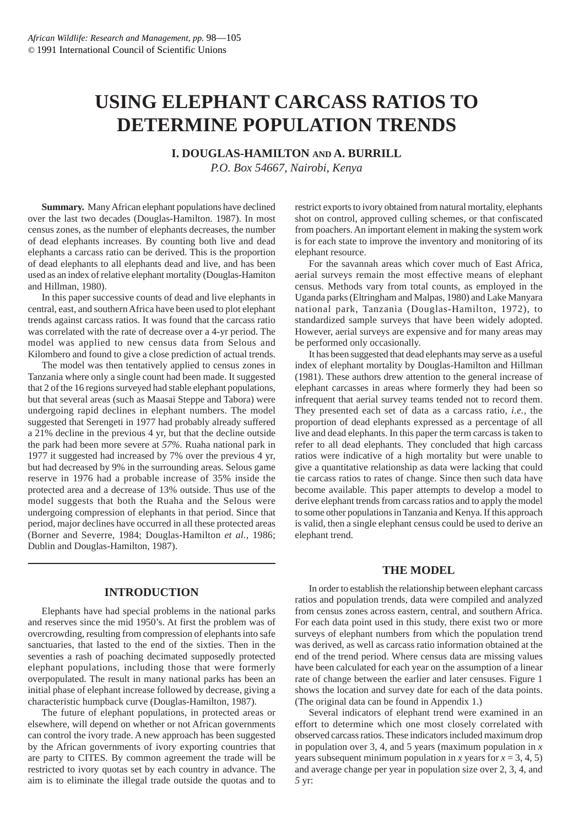# **USING ELEPHANT CARCASS RATIOS TO DETERMINE POPULATION TRENDS**

**I. DOUGLAS-HAMILTON AND A. BURRILL**

*P.O. Box 54667, Nairobi, Kenya*

**Summary.** Many African elephant populations have declined over the last two decades (Douglas-Hamilton. 1987). In most census zones, as the number of elephants decreases, the number of dead elephants increases. By counting both live and dead elephants a carcass ratio can be derived. This is the proportion of dead elephants to all elephants dead and live, and has been used as an index of relative elephant mortality (Douglas-Hamiton and Hillman, 1980).

In this paper successive counts of dead and live elephants in central, east, and southern Africa have been used to plot elephant trends against carcass ratios. It was found that the carcass ratio was correlated with the rate of decrease over a 4-yr period. The model was applied to new census data from Selous and Kilombero and found to give a close prediction of actual trends.

The model was then tentatively applied to census zones in Tanzania where only a single count had been made. It suggested that 2 of the 16 regions surveyed had stable elephant populations, but that several areas (such as Maasai Steppe and Tabora) were undergoing rapid declines in elephant numbers. The model suggested that Serengeti in 1977 had probably already suffered a 21% decline in the previous 4 yr, but that the decline outside the park had been more severe at *57%.* Ruaha national park in 1977 it suggested had increased by 7% over the previous 4 yr, but had decreased by 9% in the surrounding areas. Selous game reserve in 1976 had a probable increase of 35% inside the protected area and a decrease of 13% outside. Thus use of the model suggests that both the Ruaha and the Selous were undergoing compression of elephants in that period. Since that period, major declines have occurred in all these protected areas (Borner and Severre, 1984; Douglas-Hamilton *et al.,* 1986; Dublin and Douglas-Hamilton, 1987).

#### **INTRODUCTION**

Elephants have had special problems in the national parks and reserves since the mid 1950's. At first the problem was of overcrowding, resulting from compression of elephants into safe sanctuaries, that lasted to the end of the sixties. Then in the seventies a rash of poaching decimated supposedly protected elephant populations, including those that were formerly overpopulated. The result in many national parks has been an initial phase of elephant increase followed by decrease, giving a characteristic humpback curve (Douglas-Hamilton, 1987).

The future of elephant populations, in protected areas or elsewhere, will depend on whether or not African governments can control the ivory trade. A new approach has been suggested by the African governments of ivory exporting countries that are party to CITES. By common agreement the trade will be restricted to ivory quotas set by each country in advance. The aim is to eliminate the illegal trade outside the quotas and to

restrict exports to ivory obtained from natural mortality, elephants shot on control, approved culling schemes, or that confiscated from poachers. An important element in making the system work is for each state to improve the inventory and monitoring of its elephant resource.

For the savannah areas which cover much of East Africa, aerial surveys remain the most effective means of elephant census. Methods vary from total counts, as employed in the Uganda parks (Eltringham and Malpas, 1980) and Lake Manyara national park, Tanzania (Douglas-Hamilton, 1972), to standardized sample surveys that have been widely adopted. However, aerial surveys are expensive and for many areas may be performed only occasionally.

It has been suggested that dead elephants may serve as a useful index of elephant mortality by Douglas-Hamilton and Hillman (1981). These authors drew attention to the general increase of elephant carcasses in areas where formerly they had been so infrequent that aerial survey teams tended not to record them. They presented each set of data as a carcass ratio, *i.e.,* the proportion of dead elephants expressed as a percentage of all live and dead elephants. In this paper the term carcass is taken to refer to all dead elephants. They concluded that high carcass ratios were indicative of a high mortality but were unable to give a quantitative relationship as data were lacking that could tie carcass ratios to rates of change. Since then such data have become available. This paper attempts to develop a model to derive elephant trends from carcass ratios and to apply the model to some other populations in Tanzania and Kenya. If this approach is valid, then a single elephant census could be used to derive an elephant trend.

#### **THE MODEL**

In order to establish the relationship between elephant carcass ratios and population trends, data were compiled and analyzed from census zones across eastern, central, and southern Africa. For each data point used in this study, there exist two or more surveys of elephant numbers from which the population trend was derived, as well as carcass ratio information obtained at the end of the trend period. Where census data are missing values have been calculated for each year on the assumption of a linear rate of change between the earlier and later censuses. Figure 1 shows the location and survey date for each of the data points. (The original data can be found in Appendix 1.)

Several indicators of elephant trend were examined in an effort to determine which one most closely correlated with observed carcass ratios. These indicators included maximum drop in population over 3, 4, and 5 years (maximum population in  $\overline{x}$ ) years subsequent minimum population in *x* years for  $x = 3, 4, 5$ ) and average change per year in population size over 2, 3, 4, and *5* yr: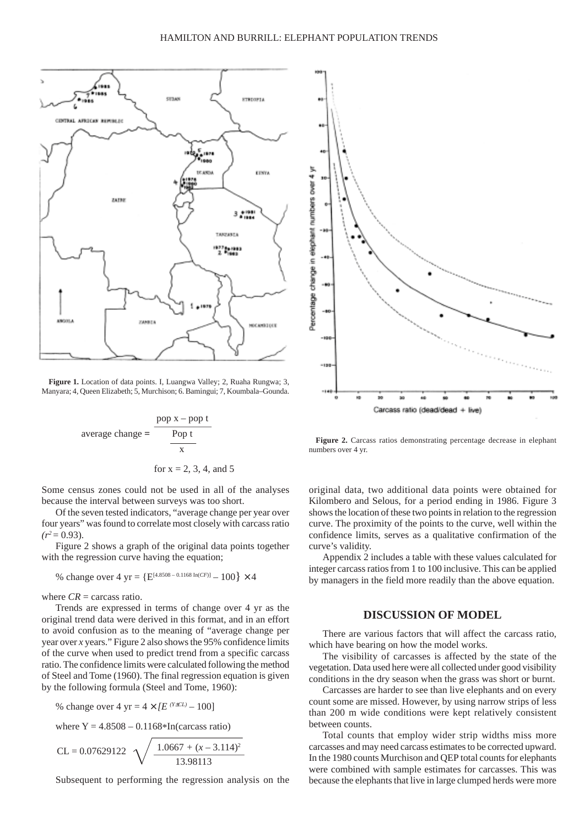

**Figure 1.** Location of data points. I, Luangwa Valley; 2, Ruaha Rungwa; 3, Manyara; 4*,* Queen Elizabeth; 5, Murchison; 6. Bamingui; 7, Koumbala–Gounda.

average change = 
$$
\frac{pop x - pop t}{Pop t}
$$
  
for x = 2, 3, 4, and 5

Some census zones could not be used in all of the analyses because the interval between surveys was too short.

Of the seven tested indicators, "average change per year over four years" was found to correlate most closely with carcass ratio  $(r^2 = 0.93)$ .

Figure 2 shows a graph of the original data points together with the regression curve having the equation:

% change over 4 yr = {
$$
E^{[4.8508 - 0.1168 \ln(CF)]}
$$
 – 100} × 4

where  $CR =$  carcass ratio.

Trends are expressed in terms of change over 4 yr as the original trend data were derived in this format, and in an effort to avoid confusion as to the meaning of "average change per year over *x* years." Figure 2 also shows the 95% confidence limits of the curve when used to predict trend from a specific carcass ratio. The confidence limits were calculated following the method of Steel and Tome (1960). The final regression equation is given by the following formula (Steel and Tome, 1960):

% change over 4 yr = 
$$
4 \times [E^{(Y \pm CL)} - 100]
$$

where  $Y = 4.8508 - 0.1168 * In(carcass ratio)$ 

$$
CL = 0.07629122 \sqrt{\frac{1.0667 + (x - 3.114)^2}{13.98113}}
$$

Subsequent to performing the regression analysis on the



**Figure 2.** Carcass ratios demonstrating percentage decrease in elephant numbers over 4 yr.

original data, two additional data points were obtained for Kilombero and Selous, for a period ending in 1986. Figure 3 shows the location of these two points in relation to the regression curve. The proximity of the points to the curve, well within the confidence limits, serves as a qualitative confirmation of the curve's validity.

Appendix 2 includes a table with these values calculated for integer carcass ratios from 1 to 100 inclusive. This can be applied by managers in the field more readily than the above equation.

#### **DISCUSSION OF MODEL**

There are various factors that will affect the carcass ratio, which have bearing on how the model works.

The visibility of carcasses is affected by the state of the vegetation. Data used here were all collected under good visibility conditions in the dry season when the grass was short or burnt.

Carcasses are harder to see than live elephants and on every count some are missed. However, by using narrow strips of less than 200 m wide conditions were kept relatively consistent between counts.

Total counts that employ wider strip widths miss more carcasses and may need carcass estimates to be corrected upward. In the 1980 counts Murchison and QEP total counts for elephants were combined with sample estimates for carcasses. This was because the elephants that live in large clumped herds were more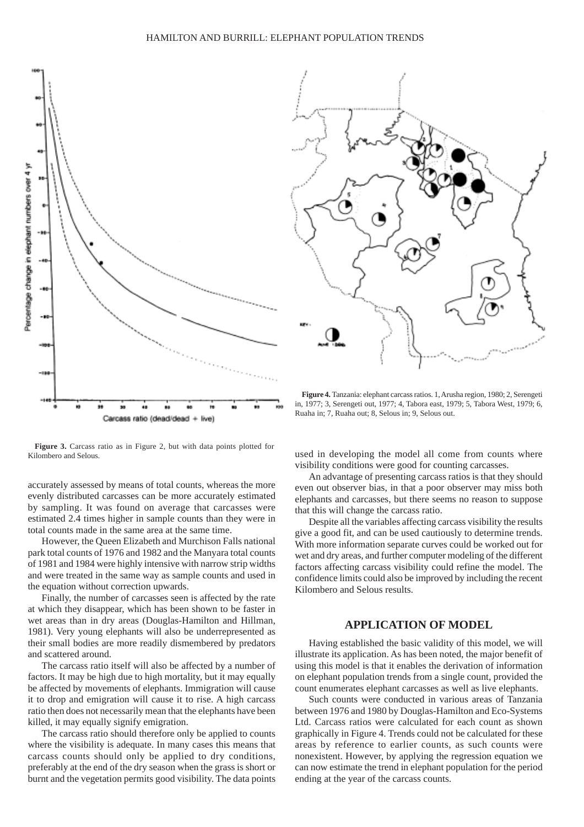

**Figure 3.** Carcass ratio as in Figure 2, but with data points plotted for Kilombero and Selous.

accurately assessed by means of total counts, whereas the more evenly distributed carcasses can be more accurately estimated by sampling. It was found on average that carcasses were estimated 2.4 times higher in sample counts than they were in total counts made in the same area at the same time.

However, the Queen Elizabeth and Murchison Falls national park total counts of 1976 and 1982 and the Manyara total counts of 1981 and 1984 were highly intensive with narrow strip widths and were treated in the same way as sample counts and used in the equation without correction upwards.

Finally, the number of carcasses seen is affected by the rate at which they disappear, which has been shown to be faster in wet areas than in dry areas (Douglas-Hamilton and Hillman, 1981). Very young elephants will also be underrepresented as their small bodies are more readily dismembered by predators and scattered around.

The carcass ratio itself will also be affected by a number of factors. It may be high due to high mortality, but it may equally be affected by movements of elephants. Immigration will cause it to drop and emigration will cause it to rise. A high carcass ratio then does not necessarily mean that the elephants have been killed, it may equally signify emigration.

The carcass ratio should therefore only be applied to counts where the visibility is adequate. In many cases this means that carcass counts should only be applied to dry conditions, preferably at the end of the dry season when the grass is short or burnt and the vegetation permits good visibility. The data points



**Figure 4.** Tanzania: elephant carcass ratios. 1, Arusha region, 1980; 2, Serengeti in, 1977; 3, Serengeti out, 1977; 4, Tabora east, 1979; 5*,* Tabora West, 1979; 6, Ruaha in; 7, Ruaha out; 8, Selous in; 9, Selous out.

used in developing the model all come from counts where visibility conditions were good for counting carcasses.

An advantage of presenting carcass ratios is that they should even out observer bias, in that a poor observer may miss both elephants and carcasses, but there seems no reason to suppose that this will change the carcass ratio.

Despite all the variables affecting carcass visibility the results give a good fit, and can be used cautiously to determine trends. With more information separate curves could be worked out for wet and dry areas, and further computer modeling of the different factors affecting carcass visibility could refine the model. The confidence limits could also be improved by including the recent Kilombero and Selous results.

#### **APPLICATION OF MODEL**

Having established the basic validity of this model, we will illustrate its application. As has been noted, the major benefit of using this model is that it enables the derivation of information on elephant population trends from a single count, provided the count enumerates elephant carcasses as well as live elephants.

Such counts were conducted in various areas of Tanzania between 1976 and 1980 by Douglas-Hamilton and Eco-Systems Ltd. Carcass ratios were calculated for each count as shown graphically in Figure 4. Trends could not be calculated for these areas by reference to earlier counts, as such counts were nonexistent. However, by applying the regression equation we can now estimate the trend in elephant population for the period ending at the year of the carcass counts.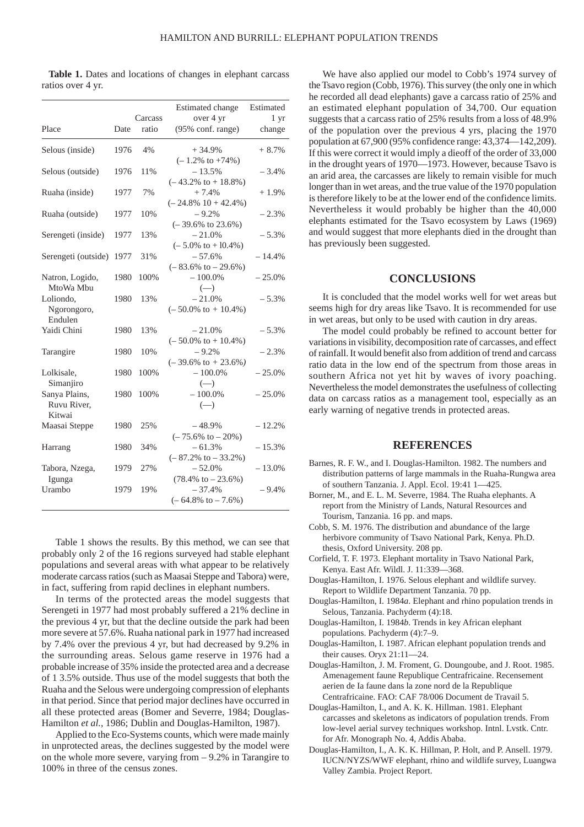**Table 1.** Dates and locations of changes in elephant carcass ratios over 4 yr.

| Place                                  | Date | Carcass<br>ratio | Estimated change<br>over 4 yr<br>(95% conf. range)                    | Estimated<br>1 yr<br>change |
|----------------------------------------|------|------------------|-----------------------------------------------------------------------|-----------------------------|
| Selous (inside)                        | 1976 | 4%               | $+34.9%$                                                              | $+8.7%$                     |
| Selous (outside)                       | 1976 | 11%              | $(-1.2\% \text{ to } +74\%)$<br>$-13.5%$                              | $-3.4%$                     |
| Ruaha (inside)                         | 1977 | 7%               | $(-43.2\% \text{ to } +18.8\%)$<br>$+7.4%$<br>$(-24.8\% 10 + 42.4\%)$ | $+1.9%$                     |
| Ruaha (outside)                        | 1977 | 10%              | $-9.2%$<br>$(-39.6\% \text{ to } 23.6\%)$                             | $-2.3%$                     |
| Serengeti (inside)                     | 1977 | 13%              | $-21.0%$<br>$(-5.0\% \text{ to } +10.4\%)$                            | $-5.3%$                     |
| Serengeti (outside)                    | 1977 | 31%              | $-57.6%$<br>$(-83.6\% \text{ to } -29.6\%)$                           | $-14.4%$                    |
| Natron, Logido,<br>MtoWa Mbu           | 1980 | 100%             | $-100.0\%$<br>$(-)$                                                   | $-25.0%$                    |
| Loliondo,<br>Ngorongoro,<br>Endulen    | 1980 | 13%              | $-21.0%$<br>$(-50.0\% \text{ to } +10.4\%)$                           | $-5.3%$                     |
| Yaidi Chini                            | 1980 | 13%              | $-21.0%$<br>$(-50.0\% \text{ to } +10.4\%)$                           | $-5.3%$                     |
| Tarangire                              | 1980 | 10%              | $-9.2%$<br>$(-39.6\% \text{ to } +23.6\%)$                            | $-2.3%$                     |
| Lolkisale,<br>Simanjiro                | 1980 | 100%             | $-100.0\%$<br>$(-)$                                                   | $-25.0%$                    |
| Sanya Plains,<br>Ruvu River,<br>Kitwai | 1980 | 100%             | $-100.0\%$<br>$(-)$                                                   | $-25.0%$                    |
| Maasai Steppe                          | 1980 | 25%              | $-48.9%$<br>$(-75.6\% \text{ to } -20\%)$                             | $-12.2%$                    |
| Harrang                                | 1980 | 34%              | $-61.3%$<br>$(-87.2\% \text{ to } -33.2\%)$                           | $-15.3%$                    |
| Tabora, Nzega,<br>Igunga               | 1979 | 27%              | $-52.0%$<br>$(78.4\% \text{ to } -23.6\%)$                            | $-13.0%$                    |
| Urambo                                 | 1979 | 19%              | $-37.4%$<br>$(-64.8\% \text{ to } -7.6\%)$                            | $-9.4%$                     |

Table 1 shows the results. By this method, we can see that probably only 2 of the 16 regions surveyed had stable elephant populations and several areas with what appear to be relatively moderate carcass ratios (such as Maasai Steppe and Tabora) were, in fact, suffering from rapid declines in elephant numbers.

In terms of the protected areas the model suggests that Serengeti in 1977 had most probably suffered a 21% decline in the previous 4 yr, but that the decline outside the park had been more severe at 57.6%. Ruaha national park in 1977 had increased by 7.4% over the previous 4 yr, but had decreased by 9.2% in the surrounding areas. Selous game reserve in 1976 had a probable increase of 35% inside the protected area and a decrease of 1 3.5% outside. Thus use of the model suggests that both the Ruaha and the Selous were undergoing compression of elephants in that period. Since that period major declines have occurred in all these protected areas (Bomer and Severre, 1984; Douglas-Hamilton *et al.,* 1986; Dublin and Douglas-Hamilton, 1987).

Applied to the Eco-Systems counts, which were made mainly in unprotected areas, the declines suggested by the model were on the whole more severe, varying from – 9.2% in Tarangire to 100% in three of the census zones.

We have also applied our model to Cobb's 1974 survey of the Tsavo region (Cobb, 1976). This survey (the only one in which he recorded all dead elephants) gave a carcass ratio of 25% and an estimated elephant population of 34,700. Our equation suggests that a carcass ratio of 25% results from a loss of 48.9% of the population over the previous 4 yrs, placing the 1970 population at 67,900 (95% confidence range: 43,374—142,209). If this were correct it would imply a dieoff of the order of 33,000 in the drought years of 1970—1973. However, because Tsavo is an arid area, the carcasses are likely to remain visible for much longer than in wet areas, and the true value of the 1970 population is therefore likely to be at the lower end of the confidence limits. Nevertheless it would probably be higher than the 40,000 elephants estimated for the Tsavo ecosystem by Laws (1969) and would suggest that more elephants died in the drought than has previously been suggested.

#### **CONCLUSIONS**

It is concluded that the model works well for wet areas but seems high for dry areas like Tsavo. It is recommended for use in wet areas, but only to be used with caution in dry areas.

The model could probably be refined to account better for variations in visibility, decomposition rate of carcasses, and effect of rainfall. It would benefit also from addition of trend and carcass ratio data in the low end of the spectrum from those areas in southern Africa not yet hit by waves of ivory poaching. Nevertheless the model demonstrates the usefulness of collecting data on carcass ratios as a management tool, especially as an early warning of negative trends in protected areas.

#### **REFERENCES**

- Barnes, R. F. W., and I. Douglas-Hamilton. 1982. The numbers and distribution patterns of large mammals in the Ruaha-Rungwa area of southern Tanzania. J. Appl. Ecol. 19:41 1—425.
- Borner, M., and E. L. M. Severre, 1984. The Ruaha elephants. A report from the Ministry of Lands, Natural Resources and Tourism, Tanzania. 16 pp. and maps.
- Cobb, S. M. 1976. The distribution and abundance of the large herbivore community of Tsavo National Park, Kenya. Ph.D. thesis, Oxford University. 208 pp.
- Corfield, T. F. 1973. Elephant mortality in Tsavo National Park, Kenya. East Afr. Wildl. J. 11:339—368.
- Douglas-Hamilton, I. 1976. Selous elephant and wildlife survey. Report to Wildlife Department Tanzania. 70 pp.
- Douglas-Hamilton, I. 1984*a*. Elephant and rhino population trends in Selous, Tanzania. Pachyderm (4):18.
- Douglas-Hamilton, I. 1984*b*. Trends in key African elephant populations. Pachyderm (4):7–9.
- Douglas-Hamilton, I. 1987. African elephant population trends and their causes. Oryx 21:11—24.
- Douglas-Hamilton, J. M. Froment, G. Doungoube, and J. Root. 1985. Amenagement faune Republique Centrafricaine. Recensement aerien de Ia faune dans la zone nord de la Republique Centrafricaine. FAO: CAF 78/006 Document de Travail 5.
- Douglas-Hamilton, I., and A. K. K. Hillman. 1981. Elephant carcasses and skeletons as indicators of population trends. From low-level aerial survey techniques workshop. Intnl. Lvstk. Cntr. for Afr. Monograph No. 4, Addis Ababa.
- Douglas-Hamilton, I., A. K. K. Hillman, P. Holt, and P. Ansell. 1979. IUCN/NYZS/WWF elephant, rhino and wildlife survey, Luangwa Valley Zambia. Project Report.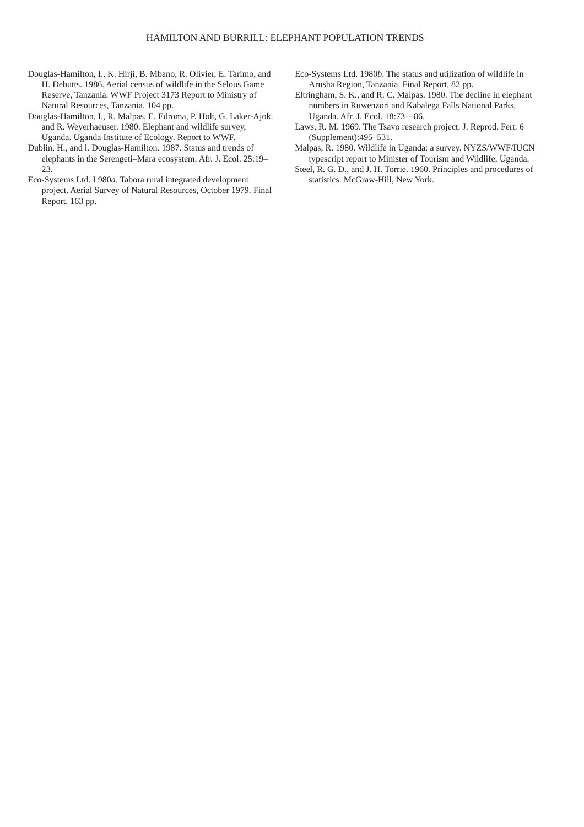- Douglas-Hamilton, I., K. Hirji, B. Mbano, R. Olivier, E. Tarimo, and H. Debutts. 1986. Aerial census of wildlife in the Selous Game Reserve, Tanzania. WWF Project 3173 Report to Ministry of Natural Resources, Tanzania. 104 pp.
- Douglas-Hamilton, I., R. Malpas, E. Edroma, P. Holt, G. Laker-Ajok. and R. Weyerhaeuser. 1980. Elephant and wildlife survey, Uganda. Uganda Institute of Ecology. Report to WWF.
- Dublin, H., and l. Douglas-Hamilton. 1987. Status and trends of elephants in the Serengeti–Mara ecosystem. Afr. J. Ecol. 25:19–  $23<sup>2</sup>$
- Eco-Systems Ltd. I 980*a*. Tabora rural integrated development project. Aerial Survey of Natural Resources, October 1979. Final Report. 163 pp.
- Eco-Systems Ltd. 1980*b*. The status and utilization of wildlife in Arusha Region, Tanzania. Final Report. 82 pp.
- Eltringham, S. K., and R. C. Malpas. 1980. The decline in elephant numbers in Ruwenzori and Kabalega Falls National Parks, Uganda. Afr. J. Ecol. 18:73—86.
- Laws, R. M. 1969. The Tsavo research project. J. Reprod. Fert. 6 (Supplement):495–531.
- Malpas, R. 1980. Wildlife in Uganda: a survey. NYZS/WWF/IUCN typescript report to Minister of Tourism and Wildlife, Uganda.
- Steel, R. G. D., and J. H. Torrie. 1960. Principles and procedures of statistics. McGraw-Hill, New York.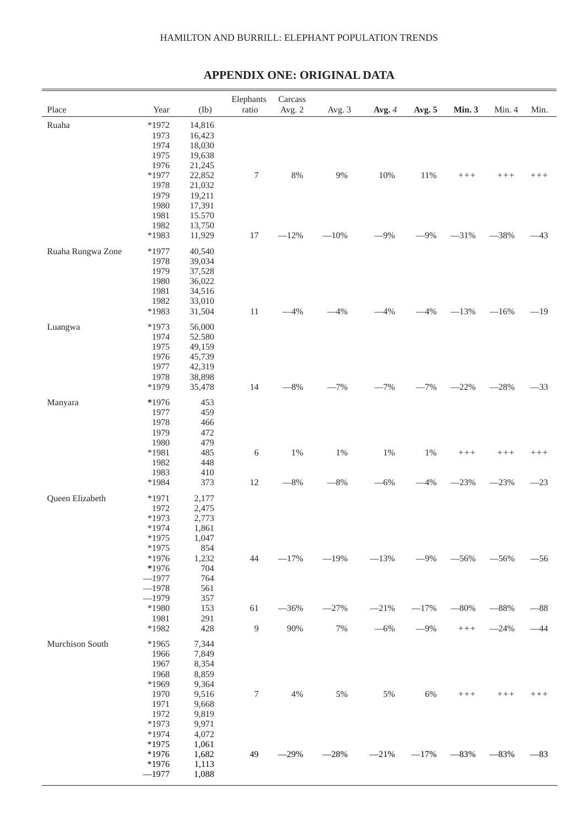#### HAMILTON AND BURRILL: ELEPHANT POPULATION TRENDS

## **APPENDIX ONE: ORIGINAL DATA**

| Place             | Year               | (Ib)             | Elephants<br>ratio | Carcass<br>Avg. 2 | Avg. 3  | Avg. 4 | Avg. 5 | Min. 3              | Min. 4              | Min.   |
|-------------------|--------------------|------------------|--------------------|-------------------|---------|--------|--------|---------------------|---------------------|--------|
| Ruaha             | *1972              | 14,816           |                    |                   |         |        |        |                     |                     |        |
|                   | 1973               | 16,423           |                    |                   |         |        |        |                     |                     |        |
|                   | 1974               | 18,030           |                    |                   |         |        |        |                     |                     |        |
|                   | 1975<br>1976       | 19,638<br>21,245 |                    |                   |         |        |        |                     |                     |        |
|                   | $*1977$            | 22,852           | $\boldsymbol{7}$   | $8\%$             | $9\%$   | 10%    | 11%    | $++++ \label{eq:3}$ | $++++ \label{eq:1}$ | $++++$ |
|                   | 1978               | 21,032           |                    |                   |         |        |        |                     |                     |        |
|                   | 1979               | 19,211           |                    |                   |         |        |        |                     |                     |        |
|                   | 1980               | 17,391           |                    |                   |         |        |        |                     |                     |        |
|                   | 1981               | 15.570           |                    |                   |         |        |        |                     |                     |        |
|                   | 1982<br>*1983      | 13,750<br>11,929 | 17                 | $-12%$            | $-10\%$ | $-9%$  | $-9%$  | $-31%$              | $-38%$              | $-43$  |
|                   |                    |                  |                    |                   |         |        |        |                     |                     |        |
| Ruaha Rungwa Zone | $*1977$            | 40,540           |                    |                   |         |        |        |                     |                     |        |
|                   | 1978<br>1979       | 39,034<br>37,528 |                    |                   |         |        |        |                     |                     |        |
|                   | 1980               | 36,022           |                    |                   |         |        |        |                     |                     |        |
|                   | 1981               | 34,516           |                    |                   |         |        |        |                     |                     |        |
|                   | 1982               | 33,010           |                    |                   |         |        |        |                     |                     |        |
|                   | *1983              | 31,504           | $11\,$             | $-4%$             | $-4%$   | $-4%$  | $-4%$  | $-13%$              | $-16%$              | $-19$  |
| Luangwa           | $*1973$            | 56,000           |                    |                   |         |        |        |                     |                     |        |
|                   | 1974               | 52.580           |                    |                   |         |        |        |                     |                     |        |
|                   | 1975               | 49,159           |                    |                   |         |        |        |                     |                     |        |
|                   | 1976<br>1977       | 45,739<br>42,319 |                    |                   |         |        |        |                     |                     |        |
|                   | 1978               | 38,898           |                    |                   |         |        |        |                     |                     |        |
|                   | *1979              | 35,478           | 14                 | $-8\%$            | $-7%$   | $-7%$  | $-7%$  | $-22%$              | $-28%$              | $-33$  |
| Manyara           | *1976              | 453              |                    |                   |         |        |        |                     |                     |        |
|                   | 1977               | 459              |                    |                   |         |        |        |                     |                     |        |
|                   | 1978               | 466              |                    |                   |         |        |        |                     |                     |        |
|                   | 1979<br>1980       | 472<br>479       |                    |                   |         |        |        |                     |                     |        |
|                   | *1981              | 485              | $\sqrt{6}$         | $1\%$             | $1\%$   | $1\%$  | 1%     | $++++ \label{eq:3}$ | $++++$              | $++++$ |
|                   | 1982               | 448              |                    |                   |         |        |        |                     |                     |        |
|                   | 1983               | 410              |                    |                   |         |        |        |                     |                     |        |
|                   | *1984              | 373              | 12                 | $-8\%$            | $-8\%$  | $-6%$  | $-4%$  | $-23%$              | $-23%$              | $-23$  |
| Queen Elizabeth   | $*1971$            | 2,177            |                    |                   |         |        |        |                     |                     |        |
|                   | 1972               | 2,475            |                    |                   |         |        |        |                     |                     |        |
|                   | $*1973$<br>$*1974$ | 2,773<br>1,861   |                    |                   |         |        |        |                     |                     |        |
|                   | *1975              | 1,047            |                    |                   |         |        |        |                     |                     |        |
|                   | $*1975$            | 854              |                    |                   |         |        |        |                     |                     |        |
|                   | *1976              | 1,232            | 44                 | $-17%$            | $-19%$  | $-13%$ | $-9%$  | $-56%$              | $-56%$              | $-56$  |
|                   | *1976              | 704              |                    |                   |         |        |        |                     |                     |        |
|                   | $-1977$            | 764              |                    |                   |         |        |        |                     |                     |        |
|                   | $-1978$<br>$-1979$ | 561<br>357       |                    |                   |         |        |        |                     |                     |        |
|                   | *1980              | 153              | 61                 | $-36%$            | $-27%$  | $-21%$ | $-17%$ | $-80%$              | $-88%$              | $-88$  |
|                   | 1981               | 291              |                    |                   |         |        |        |                     |                     |        |
|                   | *1982              | 428              | 9                  | 90%               | $7\%$   | $-6%$  | $-9%$  | $++++$              | $-24%$              | $-44$  |
| Murchison South   | *1965              | 7,344            |                    |                   |         |        |        |                     |                     |        |
|                   | 1966               | 7,849            |                    |                   |         |        |        |                     |                     |        |
|                   | 1967               | 8,354            |                    |                   |         |        |        |                     |                     |        |
|                   | 1968<br>*1969      | 8,859<br>9,364   |                    |                   |         |        |        |                     |                     |        |
|                   | 1970               | 9,516            | $\boldsymbol{7}$   | 4%                | $5\%$   | 5%     | 6%     | $++++$              | $+++$               | $+++$  |
|                   | 1971               | 9,668            |                    |                   |         |        |        |                     |                     |        |
|                   | 1972               | 9,819            |                    |                   |         |        |        |                     |                     |        |
|                   | *1973              | 9,971            |                    |                   |         |        |        |                     |                     |        |
|                   | *1974<br>*1975     | 4,072<br>1,061   |                    |                   |         |        |        |                     |                     |        |
|                   | *1976              | 1,682            | 49                 | $-29%$            | $-28%$  | $-21%$ | $-17%$ | $-83%$              | $-83%$              | $-83$  |
|                   | *1976              | 1,113            |                    |                   |         |        |        |                     |                     |        |
|                   | $-1977$            | 1,088            |                    |                   |         |        |        |                     |                     |        |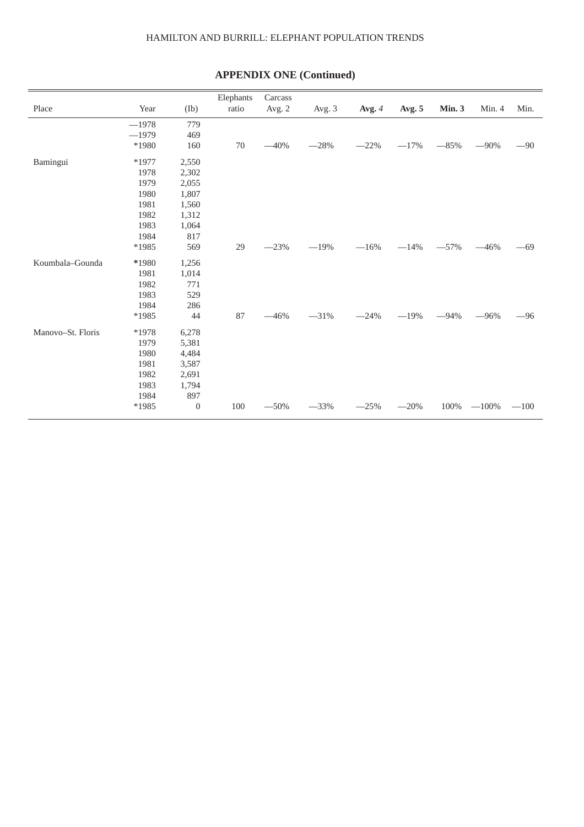#### HAMILTON AND BURRILL: ELEPHANT POPULATION TRENDS

|                   |         |          | Elephants | Carcass |        |        |        |               |         |        |
|-------------------|---------|----------|-----------|---------|--------|--------|--------|---------------|---------|--------|
| Place             | Year    | (Ib)     | ratio     | Avg. 2  | Avg. 3 | Avg. 4 | Avg. 5 | <b>Min. 3</b> | Min. 4  | Min.   |
|                   | $-1978$ | 779      |           |         |        |        |        |               |         |        |
|                   | $-1979$ | 469      |           |         |        |        |        |               |         |        |
|                   | *1980   | 160      | $70\,$    | $-40%$  | $-28%$ | $-22%$ | $-17%$ | $-85%$        | $-90%$  | $-90$  |
| Bamingui          | *1977   | 2,550    |           |         |        |        |        |               |         |        |
|                   | 1978    | 2,302    |           |         |        |        |        |               |         |        |
|                   | 1979    | 2,055    |           |         |        |        |        |               |         |        |
|                   | 1980    | 1,807    |           |         |        |        |        |               |         |        |
|                   | 1981    | 1,560    |           |         |        |        |        |               |         |        |
|                   | 1982    | 1,312    |           |         |        |        |        |               |         |        |
|                   | 1983    | 1,064    |           |         |        |        |        |               |         |        |
|                   | 1984    | 817      |           |         |        |        |        |               |         |        |
|                   | *1985   | 569      | 29        | $-23%$  | $-19%$ | $-16%$ | $-14%$ | $-57%$        | $-46%$  | $-69$  |
| Koumbala-Gounda   | *1980   | 1,256    |           |         |        |        |        |               |         |        |
|                   | 1981    | 1,014    |           |         |        |        |        |               |         |        |
|                   | 1982    | 771      |           |         |        |        |        |               |         |        |
|                   | 1983    | 529      |           |         |        |        |        |               |         |        |
|                   | 1984    | 286      |           |         |        |        |        |               |         |        |
|                   | *1985   | 44       | 87        | $-46%$  | $-31%$ | $-24%$ | $-19%$ | $-94%$        | $-96%$  | $-96$  |
| Manovo-St. Floris | *1978   | 6,278    |           |         |        |        |        |               |         |        |
|                   | 1979    | 5,381    |           |         |        |        |        |               |         |        |
|                   | 1980    | 4,484    |           |         |        |        |        |               |         |        |
|                   | 1981    | 3,587    |           |         |        |        |        |               |         |        |
|                   | 1982    | 2,691    |           |         |        |        |        |               |         |        |
|                   | 1983    | 1,794    |           |         |        |        |        |               |         |        |
|                   | 1984    | 897      |           |         |        |        |        |               |         |        |
|                   | *1985   | $\theta$ | 100       | $-50%$  | $-33%$ | $-25%$ | $-20%$ | 100%          | $-100%$ | $-100$ |

# **APPENDIX ONE (Continued)**